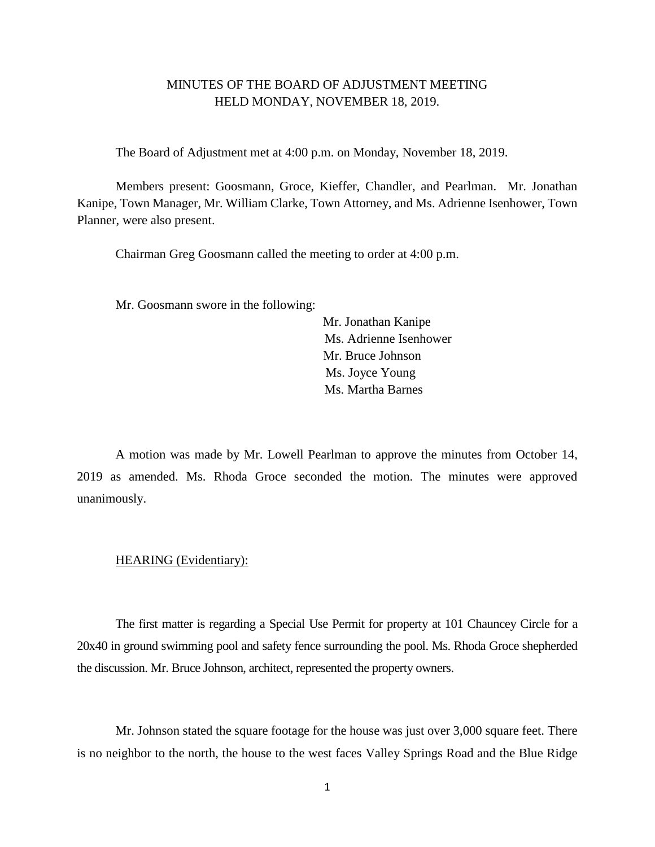# MINUTES OF THE BOARD OF ADJUSTMENT MEETING HELD MONDAY, NOVEMBER 18, 2019.

The Board of Adjustment met at 4:00 p.m. on Monday, November 18, 2019.

Members present: Goosmann, Groce, Kieffer, Chandler, and Pearlman. Mr. Jonathan Kanipe, Town Manager, Mr. William Clarke, Town Attorney, and Ms. Adrienne Isenhower, Town Planner, were also present.

Chairman Greg Goosmann called the meeting to order at 4:00 p.m.

Mr. Goosmann swore in the following:

 Mr. Jonathan Kanipe Ms. Adrienne Isenhower Mr. Bruce Johnson Ms. Joyce Young Ms. Martha Barnes

A motion was made by Mr. Lowell Pearlman to approve the minutes from October 14, 2019 as amended. Ms. Rhoda Groce seconded the motion. The minutes were approved unanimously.

### HEARING (Evidentiary):

The first matter is regarding a Special Use Permit for property at 101 Chauncey Circle for a 20x40 in ground swimming pool and safety fence surrounding the pool. Ms. Rhoda Groce shepherded the discussion. Mr. Bruce Johnson, architect, represented the property owners.

Mr. Johnson stated the square footage for the house was just over 3,000 square feet. There is no neighbor to the north, the house to the west faces Valley Springs Road and the Blue Ridge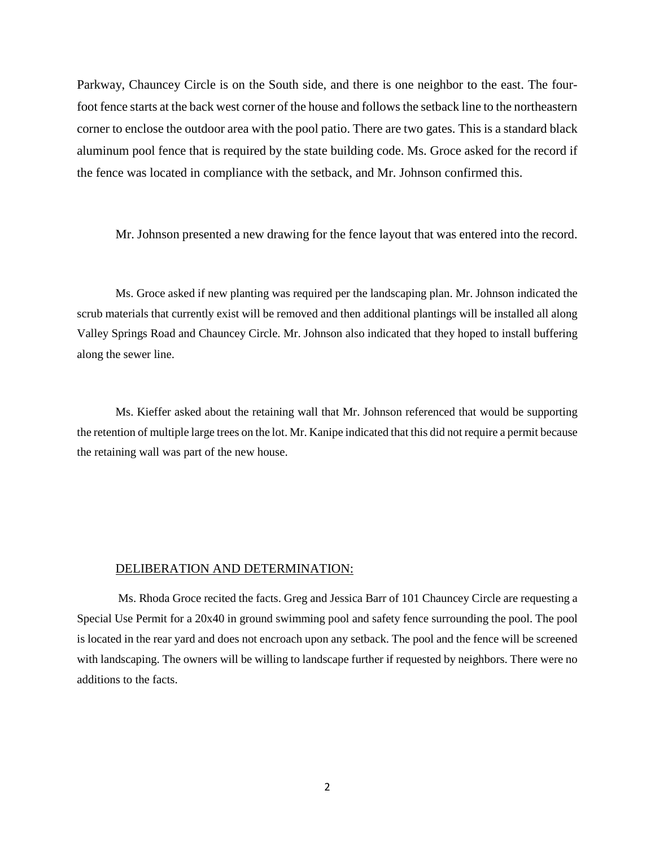Parkway, Chauncey Circle is on the South side, and there is one neighbor to the east. The fourfoot fence starts at the back west corner of the house and follows the setback line to the northeastern corner to enclose the outdoor area with the pool patio. There are two gates. This is a standard black aluminum pool fence that is required by the state building code. Ms. Groce asked for the record if the fence was located in compliance with the setback, and Mr. Johnson confirmed this.

Mr. Johnson presented a new drawing for the fence layout that was entered into the record.

Ms. Groce asked if new planting was required per the landscaping plan. Mr. Johnson indicated the scrub materials that currently exist will be removed and then additional plantings will be installed all along Valley Springs Road and Chauncey Circle. Mr. Johnson also indicated that they hoped to install buffering along the sewer line.

Ms. Kieffer asked about the retaining wall that Mr. Johnson referenced that would be supporting the retention of multiple large trees on the lot. Mr. Kanipe indicated that this did not require a permit because the retaining wall was part of the new house.

#### DELIBERATION AND DETERMINATION:

Ms. Rhoda Groce recited the facts. Greg and Jessica Barr of 101 Chauncey Circle are requesting a Special Use Permit for a 20x40 in ground swimming pool and safety fence surrounding the pool. The pool is located in the rear yard and does not encroach upon any setback. The pool and the fence will be screened with landscaping. The owners will be willing to landscape further if requested by neighbors. There were no additions to the facts.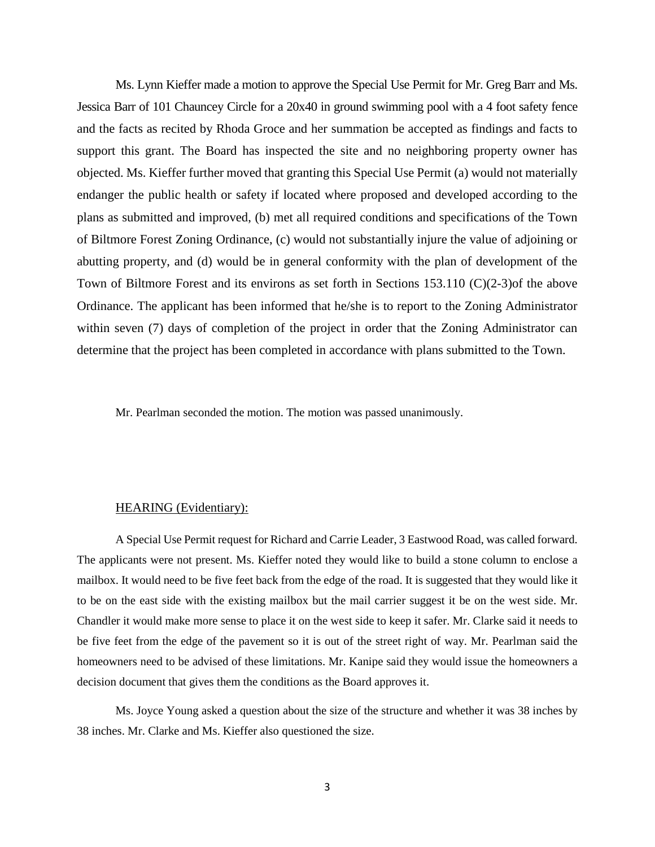Ms. Lynn Kieffer made a motion to approve the Special Use Permit for Mr. Greg Barr and Ms. Jessica Barr of 101 Chauncey Circle for a 20x40 in ground swimming pool with a 4 foot safety fence and the facts as recited by Rhoda Groce and her summation be accepted as findings and facts to support this grant. The Board has inspected the site and no neighboring property owner has objected. Ms. Kieffer further moved that granting this Special Use Permit (a) would not materially endanger the public health or safety if located where proposed and developed according to the plans as submitted and improved, (b) met all required conditions and specifications of the Town of Biltmore Forest Zoning Ordinance, (c) would not substantially injure the value of adjoining or abutting property, and (d) would be in general conformity with the plan of development of the Town of Biltmore Forest and its environs as set forth in Sections 153.110 (C)(2-3)of the above Ordinance. The applicant has been informed that he/she is to report to the Zoning Administrator within seven (7) days of completion of the project in order that the Zoning Administrator can determine that the project has been completed in accordance with plans submitted to the Town.

Mr. Pearlman seconded the motion. The motion was passed unanimously.

#### HEARING (Evidentiary):

A Special Use Permit request for Richard and Carrie Leader, 3 Eastwood Road, was called forward. The applicants were not present. Ms. Kieffer noted they would like to build a stone column to enclose a mailbox. It would need to be five feet back from the edge of the road. It is suggested that they would like it to be on the east side with the existing mailbox but the mail carrier suggest it be on the west side. Mr. Chandler it would make more sense to place it on the west side to keep it safer. Mr. Clarke said it needs to be five feet from the edge of the pavement so it is out of the street right of way. Mr. Pearlman said the homeowners need to be advised of these limitations. Mr. Kanipe said they would issue the homeowners a decision document that gives them the conditions as the Board approves it.

Ms. Joyce Young asked a question about the size of the structure and whether it was 38 inches by 38 inches. Mr. Clarke and Ms. Kieffer also questioned the size.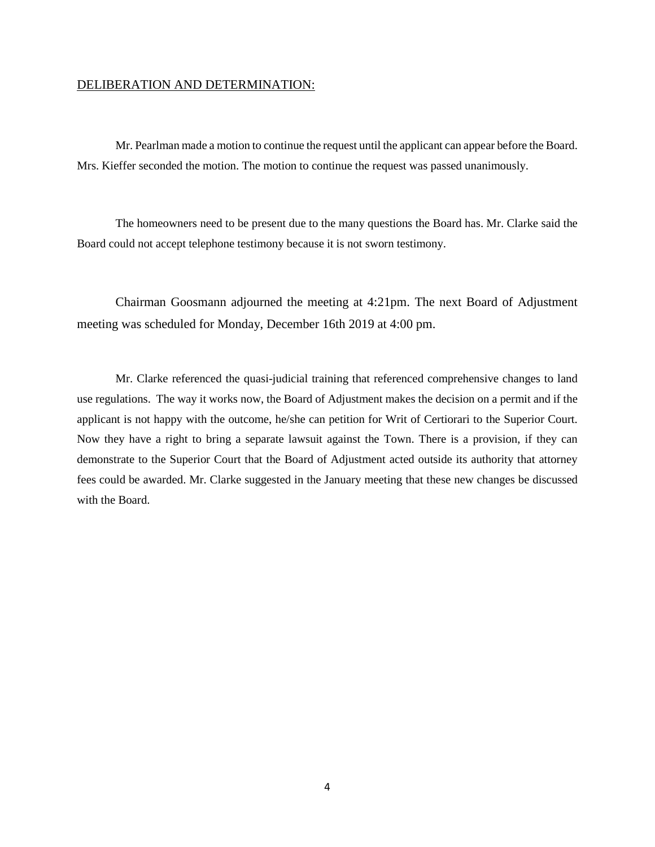## DELIBERATION AND DETERMINATION:

Mr. Pearlman made a motion to continue the request until the applicant can appear before the Board. Mrs. Kieffer seconded the motion. The motion to continue the request was passed unanimously.

The homeowners need to be present due to the many questions the Board has. Mr. Clarke said the Board could not accept telephone testimony because it is not sworn testimony.

Chairman Goosmann adjourned the meeting at 4:21pm. The next Board of Adjustment meeting was scheduled for Monday, December 16th 2019 at 4:00 pm.

Mr. Clarke referenced the quasi-judicial training that referenced comprehensive changes to land use regulations. The way it works now, the Board of Adjustment makes the decision on a permit and if the applicant is not happy with the outcome, he/she can petition for Writ of Certiorari to the Superior Court. Now they have a right to bring a separate lawsuit against the Town. There is a provision, if they can demonstrate to the Superior Court that the Board of Adjustment acted outside its authority that attorney fees could be awarded. Mr. Clarke suggested in the January meeting that these new changes be discussed with the Board.